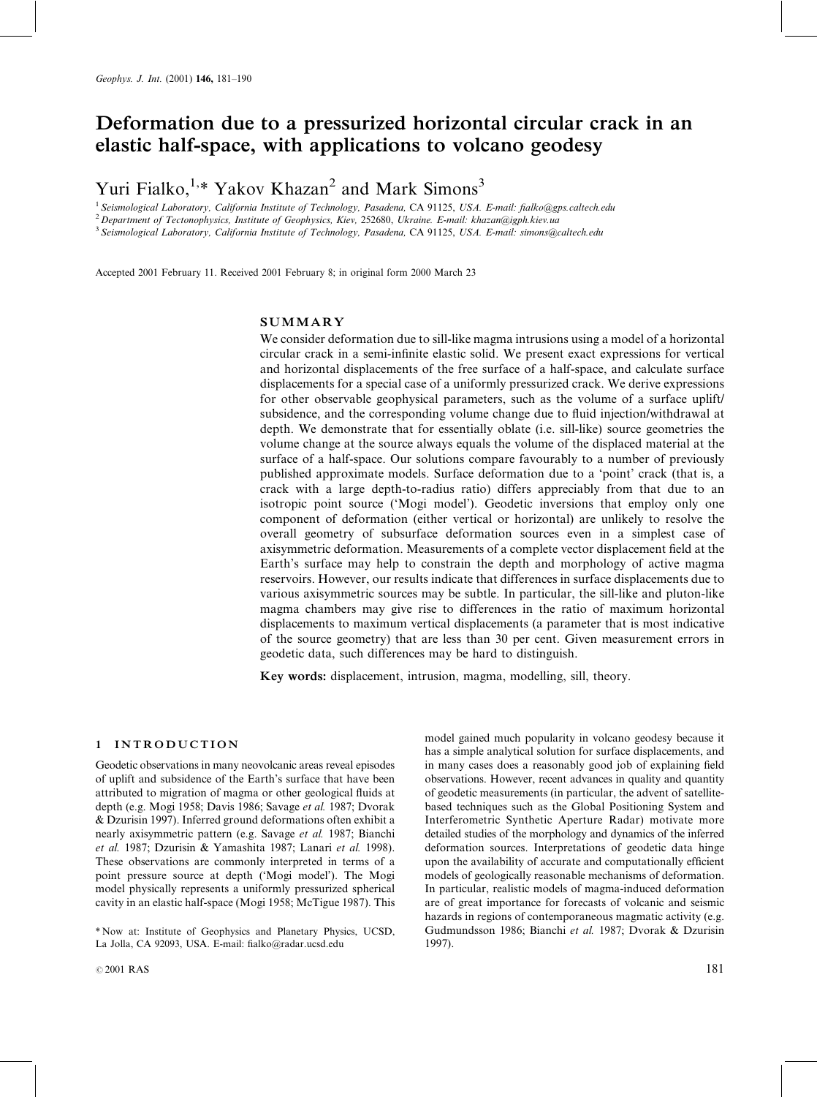# Deformation due to a pressurized horizontal circular crack in an elastic half-space, with applications to volcano geodesy

Yuri Fialko,<sup>1,\*</sup> Yakov Khazan<sup>2</sup> and Mark Simons<sup>3</sup>

<sup>1</sup> Seismological Laboratory, California Institute of Technology, Pasadena, CA 91125, USA. E-mail: fialko@gps.caltech.edu<br><sup>2</sup> Department of Tectonophysics, Institute of Geophysics, Kiev, 252680, Ukraine. E-mail: khazan@ig

Accepted 2001 February 11. Received 2001 February 8; in original form 2000 March 23

## SUMMARY

We consider deformation due to sill-like magma intrusions using a model of a horizontal circular crack in a semi-infinite elastic solid. We present exact expressions for vertical and horizontal displacements of the free surface of a half-space, and calculate surface displacements for a special case of a uniformly pressurized crack. We derive expressions for other observable geophysical parameters, such as the volume of a surface uplift/ subsidence, and the corresponding volume change due to fluid injection/withdrawal at depth. We demonstrate that for essentially oblate (i.e. sill-like) source geometries the volume change at the source always equals the volume of the displaced material at the surface of a half-space. Our solutions compare favourably to a number of previously published approximate models. Surface deformation due to a 'point' crack (that is, a crack with a large depth-to-radius ratio) differs appreciably from that due to an isotropic point source ('Mogi model'). Geodetic inversions that employ only one component of deformation (either vertical or horizontal) are unlikely to resolve the overall geometry of subsurface deformation sources even in a simplest case of axisymmetric deformation. Measurements of a complete vector displacement field at the Earth's surface may help to constrain the depth and morphology of active magma reservoirs. However, our results indicate that differences in surface displacements due to various axisymmetric sources may be subtle. In particular, the sill-like and pluton-like magma chambers may give rise to differences in the ratio of maximum horizontal displacements to maximum vertical displacements (a parameter that is most indicative of the source geometry) that are less than 30 per cent. Given measurement errors in geodetic data, such differences may be hard to distinguish.

Key words: displacement, intrusion, magma, modelling, sill, theory.

### 1 INTRODUCTION

Geodetic observations in many neovolcanic areas reveal episodes of uplift and subsidence of the Earth's surface that have been attributed to migration of magma or other geological fluids at depth (e.g. Mogi 1958; Davis 1986; Savage et al. 1987; Dvorak & Dzurisin 1997). Inferred ground deformations often exhibit a nearly axisymmetric pattern (e.g. Savage et al. 1987; Bianchi et al. 1987; Dzurisin & Yamashita 1987; Lanari et al. 1998). These observations are commonly interpreted in terms of a point pressure source at depth ('Mogi model'). The Mogi model physically represents a uniformly pressurized spherical cavity in an elastic half-space (Mogi 1958; McTigue 1987). This

\* Now at: Institute of Geophysics and Planetary Physics, UCSD, La Jolla, CA 92093, USA. E-mail: fialko@radar.ucsd.edu

 $\degree$  2001 RAS 181

model gained much popularity in volcano geodesy because it has a simple analytical solution for surface displacements, and in many cases does a reasonably good job of explaining field observations. However, recent advances in quality and quantity of geodetic measurements (in particular, the advent of satellitebased techniques such as the Global Positioning System and Interferometric Synthetic Aperture Radar) motivate more detailed studies of the morphology and dynamics of the inferred deformation sources. Interpretations of geodetic data hinge upon the availability of accurate and computationally efficient models of geologically reasonable mechanisms of deformation. In particular, realistic models of magma-induced deformation are of great importance for forecasts of volcanic and seismic hazards in regions of contemporaneous magmatic activity (e.g. Gudmundsson 1986; Bianchi et al. 1987; Dvorak & Dzurisin 1997).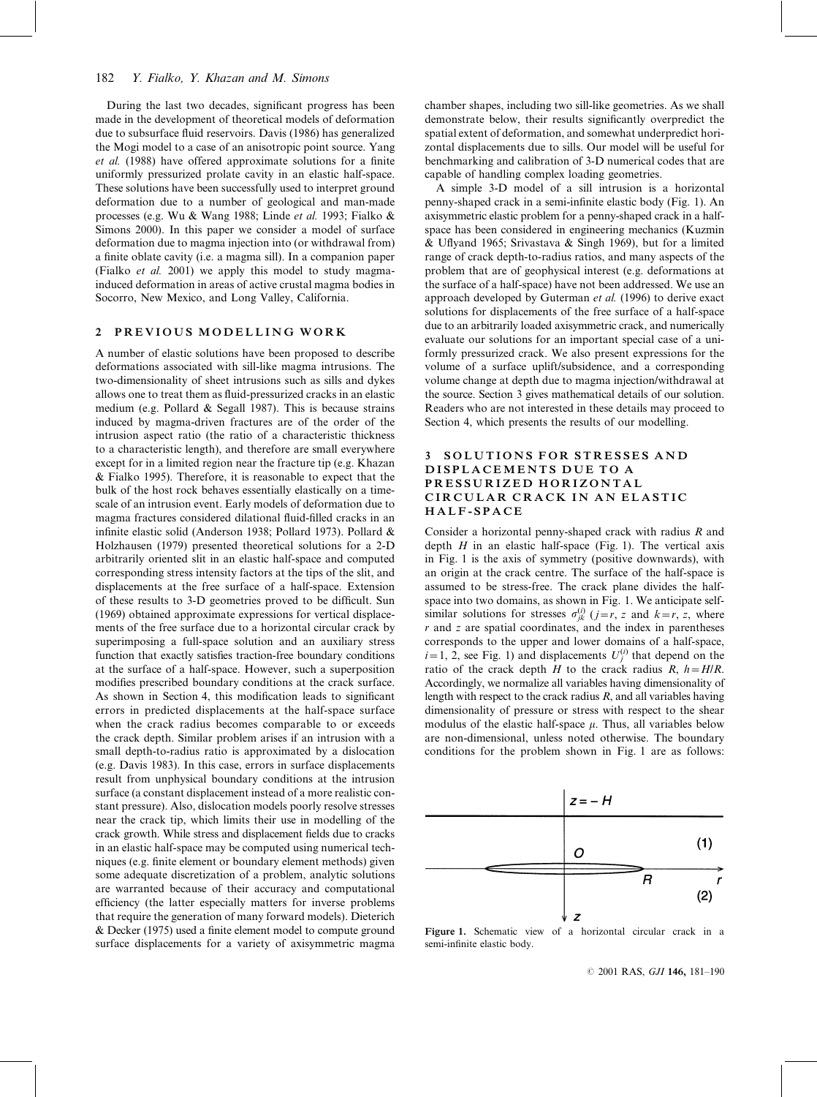During the last two decades, significant progress has been made in the development of theoretical models of deformation due to subsurface fluid reservoirs. Davis (1986) has generalized the Mogi model to a case of an anisotropic point source. Yang et al. (1988) have offered approximate solutions for a finite uniformly pressurized prolate cavity in an elastic half-space. These solutions have been successfully used to interpret ground deformation due to a number of geological and man-made processes (e.g. Wu & Wang 1988; Linde et al. 1993; Fialko & Simons 2000). In this paper we consider a model of surface deformation due to magma injection into (or withdrawal from) a finite oblate cavity (i.e. a magma sill). In a companion paper (Fialko et al. 2001) we apply this model to study magmainduced deformation in areas of active crustal magma bodies in Socorro, New Mexico, and Long Valley, California.

## 2 PREVIOUS MODELLING WORK

A number of elastic solutions have been proposed to describe deformations associated with sill-like magma intrusions. The two-dimensionality of sheet intrusions such as sills and dykes allows one to treat them as fluid-pressurized cracks in an elastic medium (e.g. Pollard & Segall 1987). This is because strains induced by magma-driven fractures are of the order of the intrusion aspect ratio (the ratio of a characteristic thickness to a characteristic length), and therefore are small everywhere except for in a limited region near the fracture tip (e.g. Khazan & Fialko 1995). Therefore, it is reasonable to expect that the bulk of the host rock behaves essentially elastically on a timescale of an intrusion event. Early models of deformation due to magma fractures considered dilational fluid-filled cracks in an infinite elastic solid (Anderson 1938; Pollard 1973). Pollard & Holzhausen (1979) presented theoretical solutions for a 2-D arbitrarily oriented slit in an elastic half-space and computed corresponding stress intensity factors at the tips of the slit, and displacements at the free surface of a half-space. Extension of these results to 3-D geometries proved to be difficult. Sun (1969) obtained approximate expressions for vertical displacements of the free surface due to a horizontal circular crack by superimposing a full-space solution and an auxiliary stress function that exactly satisfies traction-free boundary conditions at the surface of a half-space. However, such a superposition modifies prescribed boundary conditions at the crack surface. As shown in Section 4, this modification leads to significant errors in predicted displacements at the half-space surface when the crack radius becomes comparable to or exceeds the crack depth. Similar problem arises if an intrusion with a small depth-to-radius ratio is approximated by a dislocation (e.g. Davis 1983). In this case, errors in surface displacements result from unphysical boundary conditions at the intrusion surface (a constant displacement instead of a more realistic constant pressure). Also, dislocation models poorly resolve stresses near the crack tip, which limits their use in modelling of the crack growth. While stress and displacement fields due to cracks in an elastic half-space may be computed using numerical techniques (e.g. finite element or boundary element methods) given some adequate discretization of a problem, analytic solutions are warranted because of their accuracy and computational efficiency (the latter especially matters for inverse problems that require the generation of many forward models). Dieterich & Decker (1975) used a finite element model to compute ground surface displacements for a variety of axisymmetric magma chamber shapes, including two sill-like geometries. As we shall demonstrate below, their results significantly overpredict the spatial extent of deformation, and somewhat underpredict horizontal displacements due to sills. Our model will be useful for benchmarking and calibration of 3-D numerical codes that are capable of handling complex loading geometries.

A simple 3-D model of a sill intrusion is a horizontal penny-shaped crack in a semi-infinite elastic body (Fig. 1). An axisymmetric elastic problem for a penny-shaped crack in a halfspace has been considered in engineering mechanics (Kuzmin & Uflyand 1965; Srivastava & Singh 1969), but for a limited range of crack depth-to-radius ratios, and many aspects of the problem that are of geophysical interest (e.g. deformations at the surface of a half-space) have not been addressed. We use an approach developed by Guterman et al. (1996) to derive exact solutions for displacements of the free surface of a half-space due to an arbitrarily loaded axisymmetric crack, and numerically evaluate our solutions for an important special case of a uniformly pressurized crack. We also present expressions for the volume of a surface uplift/subsidence, and a corresponding volume change at depth due to magma injection/withdrawal at the source. Section 3 gives mathematical details of our solution. Readers who are not interested in these details may proceed to Section 4, which presents the results of our modelling.

## 3 SOLUTIONS FOR STRESSES AND DISPLACEMENTS DUE TO A PRESSURIZED HORIZONTAL CIRCULAR CRACK IN AN ELASTIC HALF-SPACE

Consider a horizontal penny-shaped crack with radius R and depth  $H$  in an elastic half-space (Fig. 1). The vertical axis in Fig. 1 is the axis of symmetry (positive downwards), with an origin at the crack centre. The surface of the half-space is assumed to be stress-free. The crack plane divides the halfspace into two domains, as shown in Fig. 1. We anticipate selfsimilar solutions for stresses  $\sigma_{jk}^{(i)}$  (*j*=*r*, *z* and *k*=*r*, *z*, where  $r$  and  $z$  are spatial coordinates, and the index in parentheses corresponds to the upper and lower domains of a half-space,  $i=1, 2$ , see Fig. 1) and displacements  $U_j^{(i)}$  that depend on the ratio of the crack depth H to the crack radius R,  $h=H/R$ . Accordingly, we normalize all variables having dimensionality of length with respect to the crack radius  $R$ , and all variables having dimensionality of pressure or stress with respect to the shear modulus of the elastic half-space  $\mu$ . Thus, all variables below are non-dimensional, unless noted otherwise. The boundary conditions for the problem shown in Fig. 1 are as follows:



Figure 1. Schematic view of a horizontal circular crack in a semi-infinite elastic body.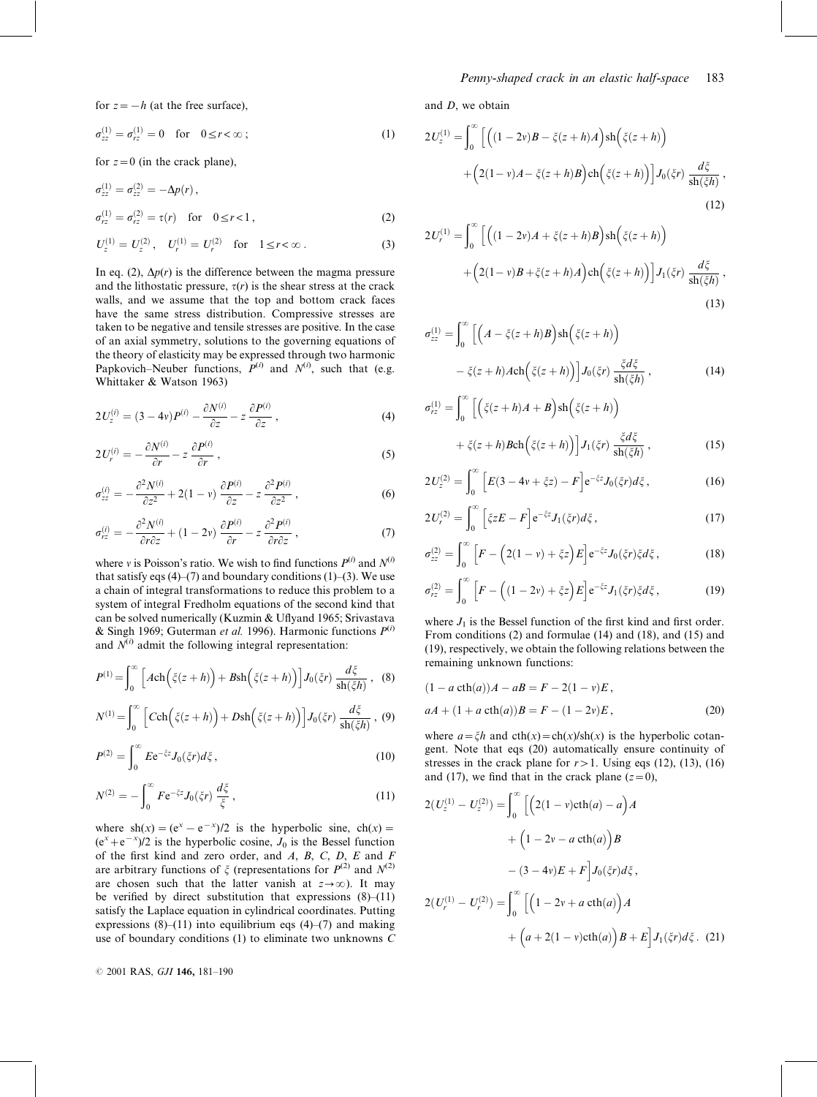for  $z = -h$  (at the free surface),

$$
\sigma_{zz}^{(1)} = \sigma_{rz}^{(1)} = 0 \quad \text{for} \quad 0 \le r < \infty \tag{1}
$$

for  $z=0$  (in the crack plane),

$$
\sigma_{zz}^{(1)} = \sigma_{zz}^{(2)} = -\Delta p(r),
$$
  
\n
$$
\sigma_{rz}^{(1)} = \sigma_{rz}^{(2)} = \tau(r) \quad \text{for} \quad 0 \le r < 1,
$$
\n(2)

$$
U_z^{(1)} = U_z^{(2)}, \quad U_r^{(1)} = U_r^{(2)} \quad \text{for} \quad 1 \le r < \infty \,. \tag{3}
$$

In eq. (2),  $\Delta p(r)$  is the difference between the magma pressure and the lithostatic pressure,  $\tau(r)$  is the shear stress at the crack walls, and we assume that the top and bottom crack faces have the same stress distribution. Compressive stresses are taken to be negative and tensile stresses are positive. In the case of an axial symmetry, solutions to the governing equations of the theory of elasticity may be expressed through two harmonic Papkovich–Neuber functions,  $P^{(i)}$  and  $N^{(i)}$ , such that (e.g. Whittaker & Watson 1963)

$$
2U_z^{(i)} = (3-4v)P^{(i)} - \frac{\partial N^{(i)}}{\partial z} - z\frac{\partial P^{(i)}}{\partial z},\tag{4}
$$

$$
2U_r^{(i)} = -\frac{\partial N^{(i)}}{\partial r} - z \frac{\partial P^{(i)}}{\partial r}, \qquad (5)
$$

$$
\sigma_{zz}^{(i)} = -\frac{\partial^2 N^{(i)}}{\partial z^2} + 2(1-\nu)\frac{\partial P^{(i)}}{\partial z} - z\frac{\partial^2 P^{(i)}}{\partial z^2},\qquad(6)
$$

$$
\sigma_{rz}^{(i)} = -\frac{\partial^2 N^{(i)}}{\partial r \partial z} + (1 - 2v) \frac{\partial P^{(i)}}{\partial r} - z \frac{\partial^2 P^{(i)}}{\partial r \partial z}, \qquad (7)
$$

where v is Poisson's ratio. We wish to find functions  $P^{(i)}$  and  $N^{(i)}$ that satisfy eqs  $(4)$ – $(7)$  and boundary conditions  $(1)$ – $(3)$ . We use a chain of integral transformations to reduce this problem to a system of integral Fredholm equations of the second kind that can be solved numerically (Kuzmin & Uflyand 1965; Srivastava & Singh 1969; Guterman et al. 1996). Harmonic functions  $P^{(i)}$ and  $N^{(i)}$  admit the following integral representation:

$$
P^{(1)} = \int_0^\infty \left[ A \text{ch}\left(\zeta(z+h)\right) + B \text{sh}\left(\zeta(z+h)\right) \right] J_0(\zeta r) \frac{d\zeta}{\text{sh}(\zeta h)}, \quad (8)
$$

$$
N^{(1)} = \int_0^\infty \left[ C \text{ch}\left(\xi(z+h)\right) + D \text{sh}\left(\xi(z+h)\right) \right] J_0(\zeta r) \frac{d\zeta}{\text{sh}(\zeta h)}, \tag{9}
$$

$$
P^{(2)} = \int_0^\infty E e^{-\xi z} J_0(\xi r) d\xi, \qquad (10)
$$

$$
N^{(2)} = -\int_0^\infty F e^{-\xi z} J_0(\xi r) \frac{d\xi}{\xi},\qquad(11)
$$

where  $sh(x) = (e^x - e^{-x})/2$  is the hyperbolic sine,  $ch(x) =$  $(e^{x}+e^{-x})/2$  is the hyperbolic cosine,  $J_0$  is the Bessel function of the first kind and zero order, and  $A$ ,  $B$ ,  $C$ ,  $D$ ,  $E$  and  $F$ are arbitrary functions of  $\zeta$  (representations for  $P^{(2)}$  and  $N^{(2)}$ ) are chosen such that the latter vanish at  $z\rightarrow\infty$ ). It may be verified by direct substitution that expressions (8)–(11) satisfy the Laplace equation in cylindrical coordinates. Putting expressions  $(8)$ – $(11)$  into equilibrium eqs  $(4)$ – $(7)$  and making use of boundary conditions (1) to eliminate two unknowns C and D, we obtain

$$
2U_z^{(1)} = \int_0^\infty \left[ \left( (1 - 2v)B - \xi(z + h)A \right) \sin\left(\xi(z + h)\right) + \left(2(1 - v)A - \xi(z + h)B\right) \sin\left(\xi(z + h)\right) \right] J_0(\xi r) \frac{d\xi}{\sin(\xi h)},
$$
\n(12)

$$
2U_r^{(1)} = \int_0^\infty \left[ \left( (1 - 2v)A + \xi(z + h)B \right) \operatorname{sh} \left( \xi(z + h) \right) + \left( 2(1 - v)B + \xi(z + h)A \right) \operatorname{ch} \left( \xi(z + h) \right) \right] J_1(\xi r) \frac{d\xi}{\operatorname{sh}(\xi h)},
$$
\n(13)

$$
\sigma_{zz}^{(1)} = \int_0^\infty \left[ \left( A - \xi(z+h)B \right) \operatorname{sh} \left( \xi(z+h) \right) \right. \\ \left. - \xi(z+h) A \operatorname{ch} \left( \xi(z+h) \right) \right] J_0(\xi r) \frac{\xi d \xi}{\operatorname{sh}(\xi h)} \,, \tag{14}
$$

$$
\sigma_{rz}^{(1)} = \int_0^\infty \left[ \left( \xi(z+h)A + B \right) \operatorname{sh} \left( \xi(z+h) \right) + \xi(z+h) B \operatorname{ch} \left( \xi(z+h) \right) \right] J_1(\xi r) \frac{\xi d\xi}{\operatorname{sh}(\xi h)}, \tag{15}
$$

$$
2U_z^{(2)} = \int_0^\infty \left[ E(3 - 4v + \xi z) - F \right] e^{-\xi z} J_0(\xi r) d\xi , \qquad (16)
$$

$$
2U_r^{(2)} = \int_0^\infty \left[ \xi z E - F \right] e^{-\xi z} J_1(\xi r) d\xi , \qquad (17)
$$

$$
\sigma_{zz}^{(2)} = \int_0^\infty \left[ F - \left( 2(1 - v) + \xi z \right) E \right] e^{-\xi z} J_0(\xi r) \xi d\xi , \qquad (18)
$$

$$
\sigma_{rz}^{(2)} = \int_0^\infty \left[ F - \left( (1 - 2v) + \xi z \right) E \right] e^{-\xi z} J_1(\xi r) \xi d\xi, \tag{19}
$$

where  $J_1$  is the Bessel function of the first kind and first order. From conditions (2) and formulae (14) and (18), and (15) and (19), respectively, we obtain the following relations between the remaining unknown functions:

$$
(1 - a \coth(a))A - aB = F - 2(1 - v)E,
$$
  
\n
$$
aA + (1 + a \coth(a))B = F - (1 - 2v)E,
$$
\n(20)

where  $a = \xi h$  and  $\text{cth}(x) = \text{ch}(x)/\text{sh}(x)$  is the hyperbolic cotangent. Note that eqs (20) automatically ensure continuity of stresses in the crack plane for  $r > 1$ . Using eqs (12), (13), (16) and (17), we find that in the crack plane  $(z=0)$ ,

$$
2(U_z^{(1)} - U_z^{(2)}) = \int_0^\infty \left[ \left( 2(1 - v) \text{cth}(a) - a \right) A + \left( 1 - 2v - a \text{ cth}(a) \right) B - (3 - 4v)E + F \right] J_0(\xi r) d\xi,
$$
  

$$
2(U_r^{(1)} - U_r^{(2)}) = \int_0^\infty \left[ \left( 1 - 2v + a \text{ cth}(a) \right) A + \left( a + 2(1 - v) \text{cth}(a) \right) B + E \right] J_1(\xi r) d\xi. \tag{21}
$$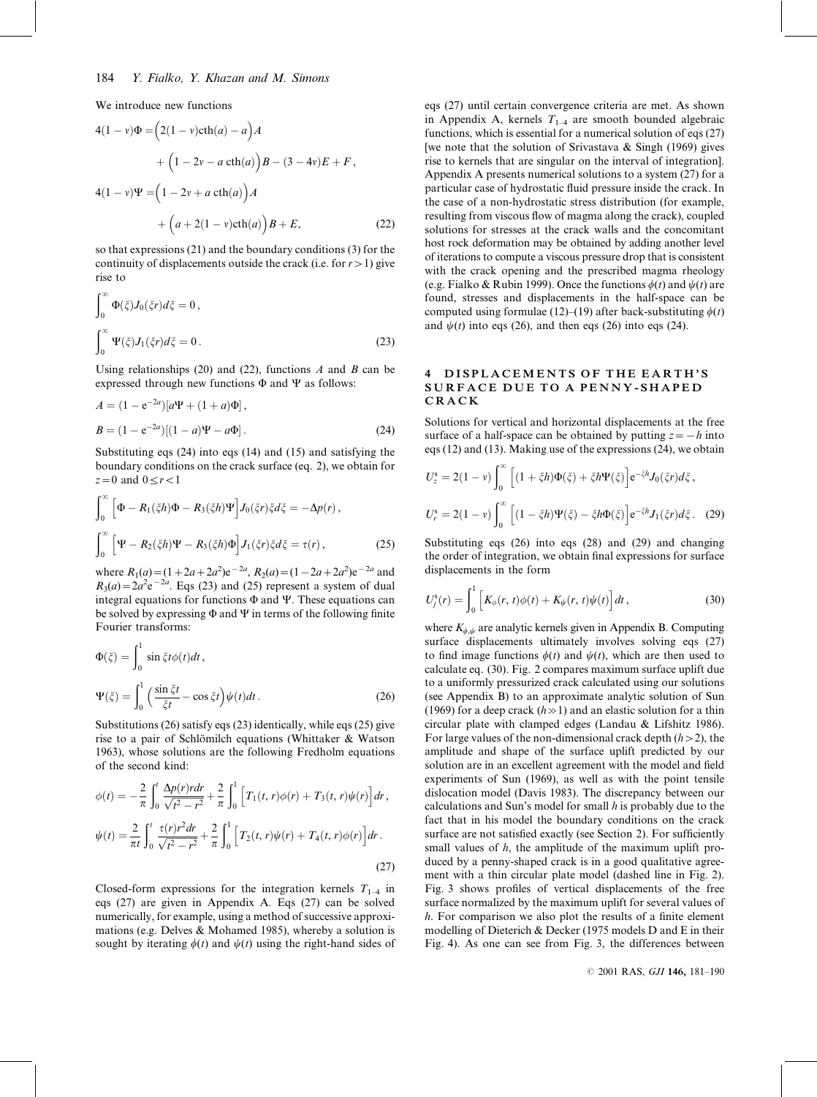We introduce new functions

$$
4(1 - v)\Phi = (2(1 - v) \text{cth}(a) - a)A
$$
  
+  $(1 - 2v - a \text{cth}(a))B - (3 - 4v)E + F,$   

$$
4(1 - v)\Psi = (1 - 2v + a \text{cth}(a))A
$$
  
+  $(a + 2(1 - v)\text{cth}(a))B + E,$  (22)

so that expressions (21) and the boundary conditions (3) for the continuity of displacements outside the crack (i.e. for  $r > 1$ ) give rise to

$$
\int_0^\infty \Phi(\xi) J_0(\xi r) d\xi = 0,
$$
  

$$
\int_0^\infty \Psi(\xi) J_1(\xi r) d\xi = 0.
$$
 (23)

Using relationships (20) and (22), functions  $A$  and  $B$  can be expressed through new functions  $\Phi$  and  $\Psi$  as follows:

$$
A = (1 - e^{-2a})[a\Psi + (1 + a)\Phi],
$$
  
\n
$$
B = (1 - e^{-2a})[(1 - a)\Psi - a\Phi].
$$
\n(24)

Substituting eqs (24) into eqs (14) and (15) and satisfying the boundary conditions on the crack surface (eq. 2), we obtain for  $z=0$  and  $0 \le r < 1$ 

$$
\int_0^\infty \left[ \Phi - R_1(\xi h) \Phi - R_3(\xi h) \Psi \right] J_0(\xi r) \xi d\xi = -\Delta p(r),
$$
  

$$
\int_0^\infty \left[ \Psi - R_2(\xi h) \Psi - R_3(\xi h) \Phi \right] J_1(\xi r) \xi d\xi = \tau(r),
$$
 (25)

where  $R_1(a) = (1 + 2a + 2a^2)e^{-2a}$ ,  $R_2(a) = (1 - 2a + 2a^2)e^{-2a}$  and  $R_3(a) = 2a^2 e^{-2a}$ . Eqs (23) and (25) represent a system of dual integral equations for functions  $\Phi$  and  $\Psi$ . These equations can be solved by expressing  $\Phi$  and  $\Psi$  in terms of the following finite Fourier transforms:

$$
\Phi(\xi) = \int_0^1 \sin \xi t \phi(t) dt,
$$
  

$$
\Psi(\xi) = \int_0^1 \left( \frac{\sin \xi t}{\xi t} - \cos \xi t \right) \psi(t) dt.
$$
 (26)

Substitutions (26) satisfy eqs (23) identically, while eqs (25) give rise to a pair of Schlömilch equations (Whittaker  $\&$  Watson 1963), whose solutions are the following Fredholm equations of the second kind:

$$
\phi(t) = -\frac{2}{\pi} \int_0^t \frac{\Delta p(r) r dr}{\sqrt{t^2 - r^2}} + \frac{2}{\pi} \int_0^1 \left[ T_1(t, r) \phi(r) + T_3(t, r) \psi(r) \right] dr,
$$
  

$$
\psi(t) = \frac{2}{\pi t} \int_0^t \frac{\tau(r) r^2 dr}{\sqrt{t^2 - r^2}} + \frac{2}{\pi} \int_0^1 \left[ T_2(t, r) \psi(r) + T_4(t, r) \phi(r) \right] dr.
$$
\n(27)

Closed-form expressions for the integration kernels  $T_{1-4}$  in eqs (27) are given in Appendix A. Eqs (27) can be solved numerically, for example, using a method of successive approximations (e.g. Delves & Mohamed 1985), whereby a solution is sought by iterating  $\phi(t)$  and  $\psi(t)$  using the right-hand sides of

eqs (27) until certain convergence criteria are met. As shown in Appendix A, kernels  $T_{1-4}$  are smooth bounded algebraic functions, which is essential for a numerical solution of eqs (27) [we note that the solution of Srivastava & Singh (1969) gives rise to kernels that are singular on the interval of integration]. Appendix A presents numerical solutions to a system (27) for a particular case of hydrostatic fluid pressure inside the crack. In the case of a non-hydrostatic stress distribution (for example, resulting from viscous flow of magma along the crack), coupled solutions for stresses at the crack walls and the concomitant host rock deformation may be obtained by adding another level of iterations to compute a viscous pressure drop that is consistent with the crack opening and the prescribed magma rheology (e.g. Fialko & Rubin 1999). Once the functions  $\phi(t)$  and  $\psi(t)$  are found, stresses and displacements in the half-space can be computed using formulae (12)–(19) after back-substituting  $\phi(t)$ and  $\psi(t)$  into eqs (26), and then eqs (26) into eqs (24).

## 4 DISPLACEMENTS OF THE EARTH'S SURFACE DUE TO A PENNY-SHAPED CRACK

Solutions for vertical and horizontal displacements at the free surface of a half-space can be obtained by putting  $z = -h$  into eqs (12) and (13). Making use of the expressions (24), we obtain

$$
U_z^s = 2(1 - v) \int_0^\infty \left[ (1 + \xi h) \Phi(\xi) + \xi h \Psi(\xi) \right] e^{-\xi h} J_0(\xi r) d\xi,
$$
  

$$
U_r^s = 2(1 - v) \int_0^\infty \left[ (1 - \xi h) \Psi(\xi) - \xi h \Phi(\xi) \right] e^{-\xi h} J_1(\xi r) d\xi.
$$
 (29)

Substituting eqs (26) into eqs (28) and (29) and changing the order of integration, we obtain final expressions for surface displacements in the form

$$
U_j^s(r) = \int_0^1 \left[ K_\phi(r, t) \phi(t) + K_\psi(r, t) \psi(t) \right] dt,
$$
\n(30)

where  $K_{\phi, \psi}$  are analytic kernels given in Appendix B. Computing surface displacements ultimately involves solving eqs (27) to find image functions  $\phi(t)$  and  $\psi(t)$ , which are then used to calculate eq. (30). Fig. 2 compares maximum surface uplift due to a uniformly pressurized crack calculated using our solutions (see Appendix B) to an approximate analytic solution of Sun (1969) for a deep crack  $(h \gg 1)$  and an elastic solution for a thin circular plate with clamped edges (Landau & Lifshitz 1986). For large values of the non-dimensional crack depth  $(h>2)$ , the amplitude and shape of the surface uplift predicted by our solution are in an excellent agreement with the model and field experiments of Sun (1969), as well as with the point tensile dislocation model (Davis 1983). The discrepancy between our calculations and Sun's model for small  $h$  is probably due to the fact that in his model the boundary conditions on the crack surface are not satisfied exactly (see Section 2). For sufficiently small values of h, the amplitude of the maximum uplift produced by a penny-shaped crack is in a good qualitative agreement with a thin circular plate model (dashed line in Fig. 2). Fig. 3 shows profiles of vertical displacements of the free surface normalized by the maximum uplift for several values of h. For comparison we also plot the results of a finite element modelling of Dieterich & Decker (1975 models D and E in their Fig. 4). As one can see from Fig. 3, the differences between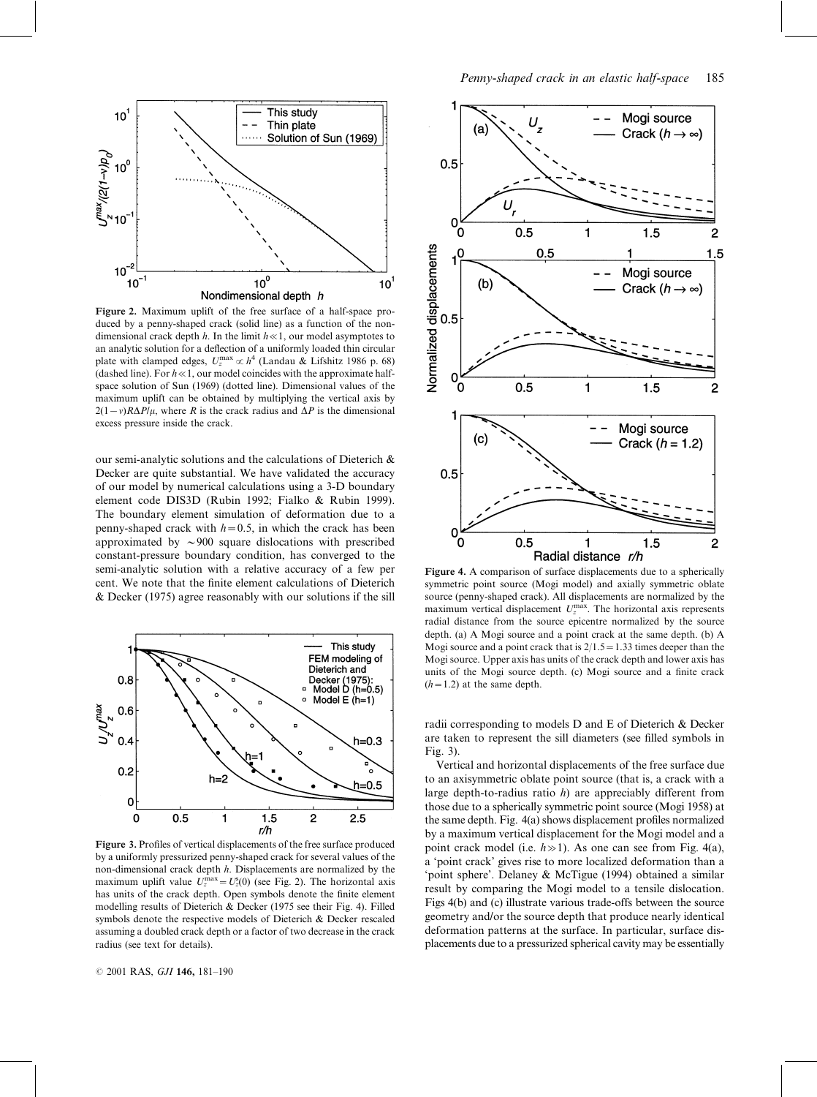

Figure 2. Maximum uplift of the free surface of a half-space produced by a penny-shaped crack (solid line) as a function of the nondimensional crack depth  $h$ . In the limit  $h \ll 1$ , our model asymptotes to an analytic solution for a deflection of a uniformly loaded thin circular plate with clamped edges,  $U_z^{\text{max}} \propto h^4$  (Landau & Lifshitz 1986 p. 68) (dashed line). For  $h \ll 1$ , our model coincides with the approximate halfspace solution of Sun (1969) (dotted line). Dimensional values of the maximum uplift can be obtained by multiplying the vertical axis by  $2(1-v)R\Delta P/\mu$ , where R is the crack radius and  $\Delta P$  is the dimensional excess pressure inside the crack.

our semi-analytic solutions and the calculations of Dieterich & Decker are quite substantial. We have validated the accuracy of our model by numerical calculations using a 3-D boundary element code DIS3D (Rubin 1992; Fialko & Rubin 1999). The boundary element simulation of deformation due to a penny-shaped crack with  $h=0.5$ , in which the crack has been approximated by  $\sim$ 900 square dislocations with prescribed constant-pressure boundary condition, has converged to the semi-analytic solution with a relative accuracy of a few per cent. We note that the finite element calculations of Dieterich & Decker (1975) agree reasonably with our solutions if the sill



Figure 3. Profiles of vertical displacements of the free surface produced by a uniformly pressurized penny-shaped crack for several values of the non-dimensional crack depth h. Displacements are normalized by the maximum uplift value  $U_z^{\text{max}} = U_z^{\text{s}}(0)$  (see Fig. 2). The horizontal axis has units of the crack depth. Open symbols denote the finite element modelling results of Dieterich & Decker (1975 see their Fig. 4). Filled symbols denote the respective models of Dieterich & Decker rescaled assuming a doubled crack depth or a factor of two decrease in the crack radius (see text for details).



Figure 4. A comparison of surface displacements due to a spherically symmetric point source (Mogi model) and axially symmetric oblate source (penny-shaped crack). All displacements are normalized by the maximum vertical displacement  $U_z^{\text{max}}$ . The horizontal axis represents radial distance from the source epicentre normalized by the source depth. (a) A Mogi source and a point crack at the same depth. (b) A Mogi source and a point crack that is  $2/1.5 = 1.33$  times deeper than the Mogi source. Upper axis has units of the crack depth and lower axis has units of the Mogi source depth. (c) Mogi source and a finite crack  $(h=1.2)$  at the same depth.

radii corresponding to models D and E of Dieterich & Decker are taken to represent the sill diameters (see filled symbols in Fig. 3).

Vertical and horizontal displacements of the free surface due to an axisymmetric oblate point source (that is, a crack with a large depth-to-radius ratio h) are appreciably different from those due to a spherically symmetric point source (Mogi 1958) at the same depth. Fig. 4(a) shows displacement profiles normalized by a maximum vertical displacement for the Mogi model and a point crack model (i.e.  $h \gg 1$ ). As one can see from Fig. 4(a), a 'point crack' gives rise to more localized deformation than a 'point sphere'. Delaney & McTigue (1994) obtained a similar result by comparing the Mogi model to a tensile dislocation. Figs 4(b) and (c) illustrate various trade-offs between the source geometry and/or the source depth that produce nearly identical deformation patterns at the surface. In particular, surface displacements due to a pressurized spherical cavity may be essentially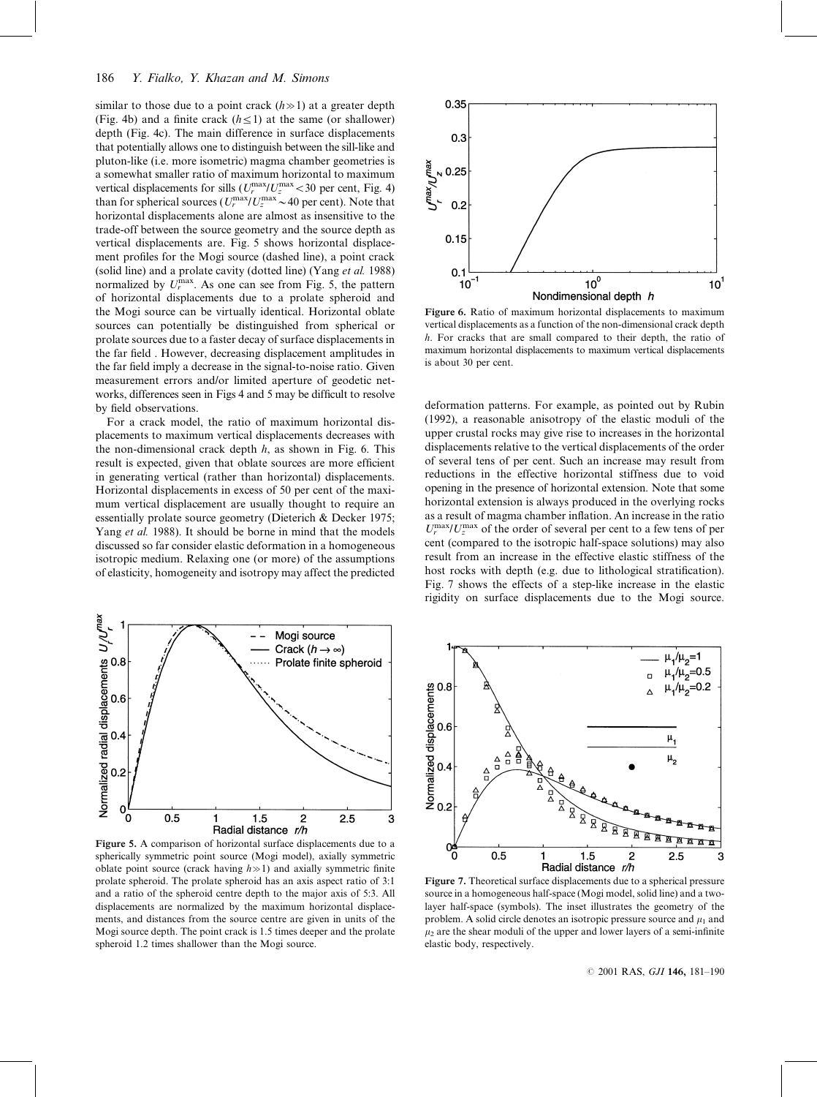similar to those due to a point crack  $(h \gg 1)$  at a greater depth (Fig. 4b) and a finite crack  $(h \le 1)$  at the same (or shallower) depth (Fig. 4c). The main difference in surface displacements that potentially allows one to distinguish between the sill-like and pluton-like (i.e. more isometric) magma chamber geometries is a somewhat smaller ratio of maximum horizontal to maximum vertical displacements for sills  $(U_r^{\text{max}}/U_z^{\text{max}} < 30$  per cent, Fig. 4) than for spherical sources  $(U_r^{\text{max}}/U_z^{\text{max}} \sim 40 \text{ per cent})$ . Note that horizontal displacements alone are almost as insensitive to the trade-off between the source geometry and the source depth as vertical displacements are. Fig. 5 shows horizontal displacement profiles for the Mogi source (dashed line), a point crack (solid line) and a prolate cavity (dotted line) (Yang et al. 1988) normalized by  $U_r^{\text{max}}$ . As one can see from Fig. 5, the pattern of horizontal displacements due to a prolate spheroid and the Mogi source can be virtually identical. Horizontal oblate sources can potentially be distinguished from spherical or prolate sources due to a faster decay of surface displacements in the far field . However, decreasing displacement amplitudes in the far field imply a decrease in the signal-to-noise ratio. Given measurement errors and/or limited aperture of geodetic networks, differences seen in Figs 4 and 5 may be difficult to resolve by field observations.

For a crack model, the ratio of maximum horizontal displacements to maximum vertical displacements decreases with the non-dimensional crack depth  $h$ , as shown in Fig. 6. This result is expected, given that oblate sources are more efficient in generating vertical (rather than horizontal) displacements. Horizontal displacements in excess of 50 per cent of the maximum vertical displacement are usually thought to require an essentially prolate source geometry (Dieterich & Decker 1975; Yang et al. 1988). It should be borne in mind that the models discussed so far consider elastic deformation in a homogeneous isotropic medium. Relaxing one (or more) of the assumptions of elasticity, homogeneity and isotropy may affect the predicted



Figure 5. A comparison of horizontal surface displacements due to a spherically symmetric point source (Mogi model), axially symmetric oblate point source (crack having  $h \gg 1$ ) and axially symmetric finite prolate spheroid. The prolate spheroid has an axis aspect ratio of 3:1 and a ratio of the spheroid centre depth to the major axis of 5:3. All displacements are normalized by the maximum horizontal displacements, and distances from the source centre are given in units of the Mogi source depth. The point crack is 1.5 times deeper and the prolate spheroid 1.2 times shallower than the Mogi source.



Figure 6. Ratio of maximum horizontal displacements to maximum vertical displacements as a function of the non-dimensional crack depth h. For cracks that are small compared to their depth, the ratio of maximum horizontal displacements to maximum vertical displacements is about 30 per cent.

deformation patterns. For example, as pointed out by Rubin (1992), a reasonable anisotropy of the elastic moduli of the upper crustal rocks may give rise to increases in the horizontal displacements relative to the vertical displacements of the order of several tens of per cent. Such an increase may result from reductions in the effective horizontal stiffness due to void opening in the presence of horizontal extension. Note that some horizontal extension is always produced in the overlying rocks as a result of magma chamber inflation. An increase in the ratio  $U_r^{\text{max}}/U_z^{\text{max}}$  of the order of several per cent to a few tens of per cent (compared to the isotropic half-space solutions) may also result from an increase in the effective elastic stiffness of the host rocks with depth (e.g. due to lithological stratification). Fig. 7 shows the effects of a step-like increase in the elastic rigidity on surface displacements due to the Mogi source.



Figure 7. Theoretical surface displacements due to a spherical pressure source in a homogeneous half-space (Mogi model, solid line) and a twolayer half-space (symbols). The inset illustrates the geometry of the problem. A solid circle denotes an isotropic pressure source and  $\mu_1$  and  $\mu_2$  are the shear moduli of the upper and lower layers of a semi-infinite elastic body, respectively.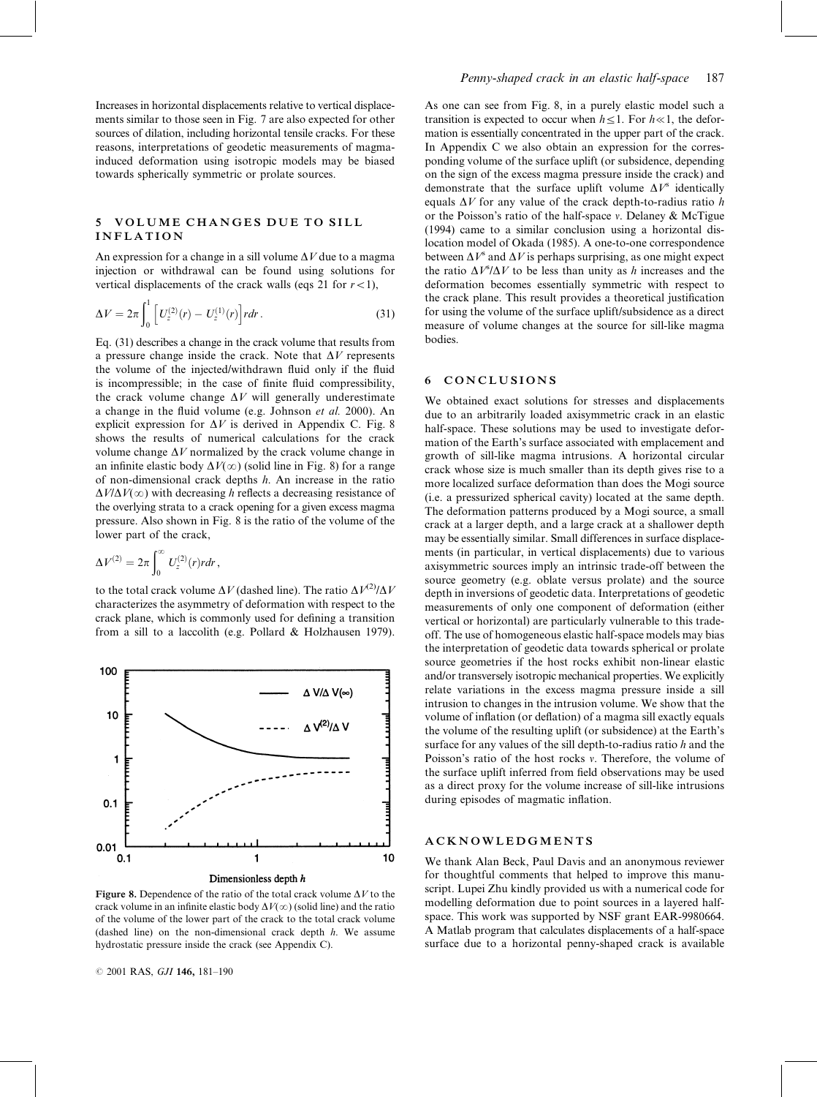Increases in horizontal displacements relative to vertical displacements similar to those seen in Fig. 7 are also expected for other sources of dilation, including horizontal tensile cracks. For these reasons, interpretations of geodetic measurements of magmainduced deformation using isotropic models may be biased towards spherically symmetric or prolate sources.

## 5 VOLUME CHANGES DUE TO SILL INFLATION

An expression for a change in a sill volume  $\Delta V$  due to a magma injection or withdrawal can be found using solutions for vertical displacements of the crack walls (eqs 21 for  $r < 1$ ),

$$
\Delta V = 2\pi \int_0^1 \left[ U_z^{(2)}(r) - U_z^{(1)}(r) \right] r dr. \tag{31}
$$

Eq. (31) describes a change in the crack volume that results from a pressure change inside the crack. Note that  $\Delta V$  represents the volume of the injected/withdrawn fluid only if the fluid is incompressible; in the case of finite fluid compressibility, the crack volume change  $\Delta V$  will generally underestimate a change in the fluid volume (e.g. Johnson et al. 2000). An explicit expression for  $\Delta V$  is derived in Appendix C. Fig. 8 shows the results of numerical calculations for the crack volume change  $\Delta V$  normalized by the crack volume change in an infinite elastic body  $\Delta V(\infty)$  (solid line in Fig. 8) for a range of non-dimensional crack depths h. An increase in the ratio  $\Delta V/\Delta V(\infty)$  with decreasing h reflects a decreasing resistance of the overlying strata to a crack opening for a given excess magma pressure. Also shown in Fig. 8 is the ratio of the volume of the lower part of the crack,

$$
\Delta V^{(2)} = 2\pi \int_0^\infty U_z^{(2)}(r) r dr,
$$

to the total crack volume  $\Delta V$  (dashed line). The ratio  $\Delta V^{(2)}/\Delta V$ characterizes the asymmetry of deformation with respect to the crack plane, which is commonly used for defining a transition from a sill to a laccolith (e.g. Pollard & Holzhausen 1979).



Figure 8. Dependence of the ratio of the total crack volume  $\Delta V$  to the crack volume in an infinite elastic body  $\Delta V(\infty)$  (solid line) and the ratio of the volume of the lower part of the crack to the total crack volume (dashed line) on the non-dimensional crack depth  $h$ . We assume hydrostatic pressure inside the crack (see Appendix C).

As one can see from Fig. 8, in a purely elastic model such a transition is expected to occur when  $h \leq 1$ . For  $h \ll 1$ , the deformation is essentially concentrated in the upper part of the crack. In Appendix C we also obtain an expression for the corresponding volume of the surface uplift (or subsidence, depending on the sign of the excess magma pressure inside the crack) and demonstrate that the surface uplift volume  $\Delta V^s$  identically equals  $\Delta V$  for any value of the crack depth-to-radius ratio h or the Poisson's ratio of the half-space  $v$ . Delaney  $&$  McTigue (1994) came to a similar conclusion using a horizontal dislocation model of Okada (1985). A one-to-one correspondence between  $\Delta V^s$  and  $\Delta V$  is perhaps surprising, as one might expect the ratio  $\Delta V^s / \Delta V$  to be less than unity as h increases and the deformation becomes essentially symmetric with respect to the crack plane. This result provides a theoretical justification for using the volume of the surface uplift/subsidence as a direct measure of volume changes at the source for sill-like magma bodies.

## 6 CONCLUSIONS

We obtained exact solutions for stresses and displacements due to an arbitrarily loaded axisymmetric crack in an elastic half-space. These solutions may be used to investigate deformation of the Earth's surface associated with emplacement and growth of sill-like magma intrusions. A horizontal circular crack whose size is much smaller than its depth gives rise to a more localized surface deformation than does the Mogi source (i.e. a pressurized spherical cavity) located at the same depth. The deformation patterns produced by a Mogi source, a small crack at a larger depth, and a large crack at a shallower depth may be essentially similar. Small differences in surface displacements (in particular, in vertical displacements) due to various axisymmetric sources imply an intrinsic trade-off between the source geometry (e.g. oblate versus prolate) and the source depth in inversions of geodetic data. Interpretations of geodetic measurements of only one component of deformation (either vertical or horizontal) are particularly vulnerable to this tradeoff. The use of homogeneous elastic half-space models may bias the interpretation of geodetic data towards spherical or prolate source geometries if the host rocks exhibit non-linear elastic and/or transversely isotropic mechanical properties. We explicitly relate variations in the excess magma pressure inside a sill intrusion to changes in the intrusion volume. We show that the volume of inflation (or deflation) of a magma sill exactly equals the volume of the resulting uplift (or subsidence) at the Earth's surface for any values of the sill depth-to-radius ratio h and the Poisson's ratio of the host rocks  $v$ . Therefore, the volume of the surface uplift inferred from field observations may be used as a direct proxy for the volume increase of sill-like intrusions during episodes of magmatic inflation.

## ACKNOWLEDGMENTS

We thank Alan Beck, Paul Davis and an anonymous reviewer for thoughtful comments that helped to improve this manuscript. Lupei Zhu kindly provided us with a numerical code for modelling deformation due to point sources in a layered halfspace. This work was supported by NSF grant EAR-9980664. A Matlab program that calculates displacements of a half-space surface due to a horizontal penny-shaped crack is available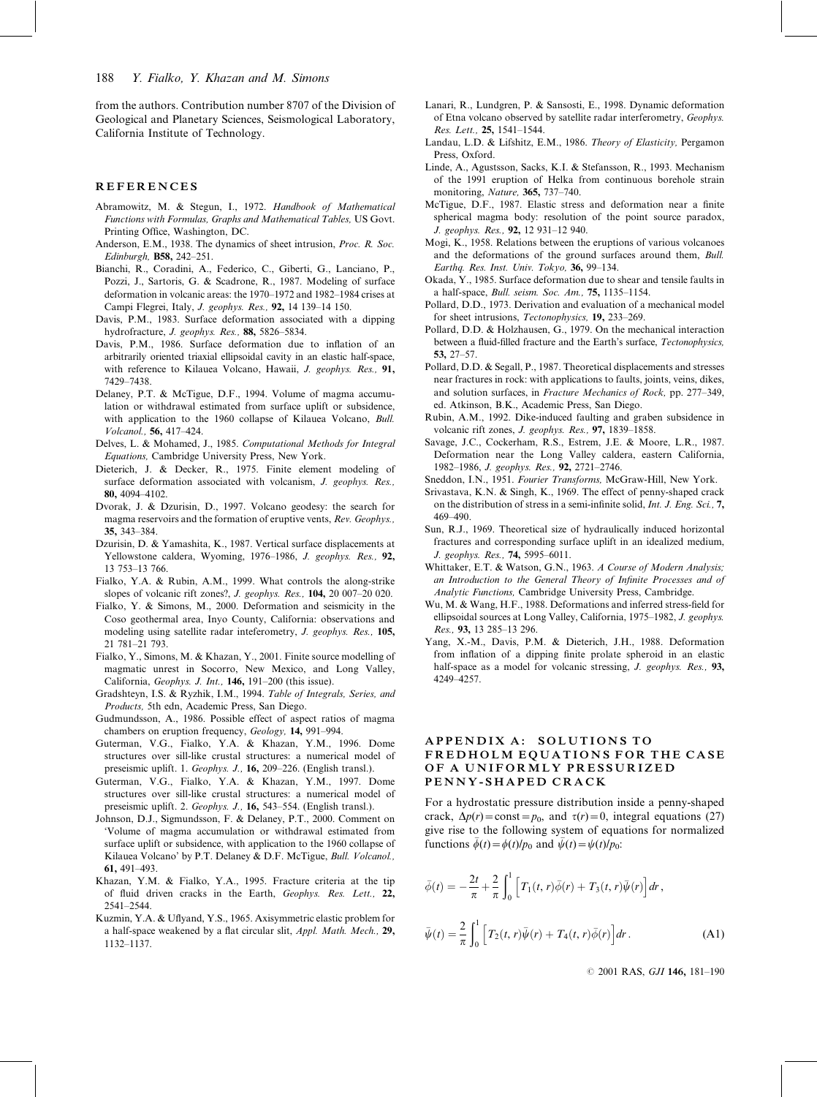from the authors. Contribution number 8707 of the Division of Geological and Planetary Sciences, Seismological Laboratory, California Institute of Technology.

#### REFERENCES

- Abramowitz, M. & Stegun, I., 1972. Handbook of Mathematical Functions with Formulas, Graphs and Mathematical Tables, US Govt. Printing Office, Washington, DC.
- Anderson, E.M., 1938. The dynamics of sheet intrusion, Proc. R. Soc. Edinburgh, B58, 242–251.
- Bianchi, R., Coradini, A., Federico, C., Giberti, G., Lanciano, P., Pozzi, J., Sartoris, G. & Scadrone, R., 1987. Modeling of surface deformation in volcanic areas: the 1970–1972 and 1982–1984 crises at Campi Flegrei, Italy, J. geophys. Res., 92, 14 139–14 150.
- Davis, P.M., 1983. Surface deformation associated with a dipping hydrofracture, J. geophys. Res., 88, 5826–5834.
- Davis, P.M., 1986. Surface deformation due to inflation of an arbitrarily oriented triaxial ellipsoidal cavity in an elastic half-space, with reference to Kilauea Volcano, Hawaii, J. geophys. Res., 91, 7429–7438.
- Delaney, P.T. & McTigue, D.F., 1994. Volume of magma accumulation or withdrawal estimated from surface uplift or subsidence, with application to the 1960 collapse of Kilauea Volcano, Bull. Volcanol., 56, 417–424.
- Delves, L. & Mohamed, J., 1985. Computational Methods for Integral Equations, Cambridge University Press, New York.
- Dieterich, J. & Decker, R., 1975. Finite element modeling of surface deformation associated with volcanism, *J. geophys. Res.*, 80, 4094–4102.
- Dvorak, J. & Dzurisin, D., 1997. Volcano geodesy: the search for magma reservoirs and the formation of eruptive vents, Rev. Geophys., 35, 343–384.
- Dzurisin, D. & Yamashita, K., 1987. Vertical surface displacements at Yellowstone caldera, Wyoming, 1976–1986, J. geophys. Res., 92, 13 753–13 766.
- Fialko, Y.A. & Rubin, A.M., 1999. What controls the along-strike slopes of volcanic rift zones?, J. geophys. Res., 104, 20 007–20 020.
- Fialko, Y. & Simons, M., 2000. Deformation and seismicity in the Coso geothermal area, Inyo County, California: observations and modeling using satellite radar inteferometry, J. geophys. Res., 105, 21 781–21 793.
- Fialko, Y., Simons, M. & Khazan, Y., 2001. Finite source modelling of magmatic unrest in Socorro, New Mexico, and Long Valley, California, Geophys. J. Int., 146, 191–200 (this issue).
- Gradshteyn, I.S. & Ryzhik, I.M., 1994. Table of Integrals, Series, and Products, 5th edn, Academic Press, San Diego.
- Gudmundsson, A., 1986. Possible effect of aspect ratios of magma chambers on eruption frequency, Geology, 14, 991–994.
- Guterman, V.G., Fialko, Y.A. & Khazan, Y.M., 1996. Dome structures over sill-like crustal structures: a numerical model of preseismic uplift. 1. Geophys. J., 16, 209–226. (English transl.).
- Guterman, V.G., Fialko, Y.A. & Khazan, Y.M., 1997. Dome structures over sill-like crustal structures: a numerical model of preseismic uplift. 2. Geophys. J., 16, 543–554. (English transl.).
- Johnson, D.J., Sigmundsson, F. & Delaney, P.T., 2000. Comment on 'Volume of magma accumulation or withdrawal estimated from surface uplift or subsidence, with application to the 1960 collapse of Kilauea Volcano' by P.T. Delaney & D.F. McTigue, Bull. Volcanol., 61, 491–493.
- Khazan, Y.M. & Fialko, Y.A., 1995. Fracture criteria at the tip of fluid driven cracks in the Earth, Geophys. Res. Lett., 22, 2541–2544.
- Kuzmin, Y.A. & Uflyand, Y.S., 1965. Axisymmetric elastic problem for a half-space weakened by a flat circular slit, Appl. Math. Mech., 29, 1132–1137.
- Lanari, R., Lundgren, P. & Sansosti, E., 1998. Dynamic deformation of Etna volcano observed by satellite radar interferometry, Geophys. Res. Lett., 25, 1541–1544.
- Landau, L.D. & Lifshitz, E.M., 1986. Theory of Elasticity, Pergamon Press, Oxford.
- Linde, A., Agustsson, Sacks, K.I. & Stefansson, R., 1993. Mechanism of the 1991 eruption of Helka from continuous borehole strain monitoring, Nature, 365, 737–740.
- McTigue, D.F., 1987. Elastic stress and deformation near a finite spherical magma body: resolution of the point source paradox, J. geophys. Res., 92, 12 931–12 940.
- Mogi, K., 1958. Relations between the eruptions of various volcanoes and the deformations of the ground surfaces around them, Bull. Earthq. Res. Inst. Univ. Tokyo, 36, 99–134.
- Okada, Y., 1985. Surface deformation due to shear and tensile faults in a half-space, Bull. seism. Soc. Am., 75, 1135–1154.
- Pollard, D.D., 1973. Derivation and evaluation of a mechanical model for sheet intrusions, Tectonophysics, 19, 233–269.
- Pollard, D.D. & Holzhausen, G., 1979. On the mechanical interaction between a fluid-filled fracture and the Earth's surface, Tectonophysics, 53, 27–57.
- Pollard, D.D. & Segall, P., 1987. Theoretical displacements and stresses near fractures in rock: with applications to faults, joints, veins, dikes, and solution surfaces, in Fracture Mechanics of Rock, pp. 277–349, ed. Atkinson, B.K., Academic Press, San Diego.
- Rubin, A.M., 1992. Dike-induced faulting and graben subsidence in volcanic rift zones, J. geophys. Res., 97, 1839–1858.
- Savage, J.C., Cockerham, R.S., Estrem, J.E. & Moore, L.R., 1987. Deformation near the Long Valley caldera, eastern California, 1982–1986, J. geophys. Res., 92, 2721–2746.
- Sneddon, I.N., 1951. Fourier Transforms, McGraw-Hill, New York.
- Srivastava, K.N. & Singh, K., 1969. The effect of penny-shaped crack on the distribution of stress in a semi-infinite solid, Int. J. Eng. Sci., 7, 469–490.
- Sun, R.J., 1969. Theoretical size of hydraulically induced horizontal fractures and corresponding surface uplift in an idealized medium, J. geophys. Res., 74, 5995–6011.
- Whittaker, E.T. & Watson, G.N., 1963. A Course of Modern Analysis; an Introduction to the General Theory of Infinite Processes and of Analytic Functions, Cambridge University Press, Cambridge.
- Wu, M. & Wang, H.F., 1988. Deformations and inferred stress-field for ellipsoidal sources at Long Valley, California, 1975–1982, J. geophys. Res., 93, 13 285–13 296.
- Yang, X.-M., Davis, P.M. & Dieterich, J.H., 1988. Deformation from inflation of a dipping finite prolate spheroid in an elastic half-space as a model for volcanic stressing, J. geophys. Res., 93, 4249–4257.

## APPENDIX A: SOLUTIONS TO FREDHOLM EQUATIONS FOR THE CASE OF A UNIFORMLY PRESSURIZED PENNY-SHAPED CRACK

For a hydrostatic pressure distribution inside a penny-shaped crack,  $\Delta p(r) = \text{const} = p_0$ , and  $\tau(r) = 0$ , integral equations (27) give rise to the following system of equations for normalized functions  $\bar{\phi}(t) = \phi(t)/p_0$  and  $\bar{\psi}(t) = \psi(t)/p_0$ :

$$
\bar{\phi}(t) = -\frac{2t}{\pi} + \frac{2}{\pi} \int_0^1 \left[ T_1(t, r)\bar{\phi}(r) + T_3(t, r)\bar{\psi}(r) \right] dr,
$$
  

$$
\bar{\psi}(t) = \frac{2}{\pi} \int_0^1 \left[ T_2(t, r)\bar{\psi}(r) + T_4(t, r)\bar{\phi}(r) \right] dr.
$$
 (A1)

© 2001 RAS, GJI 146, 181-190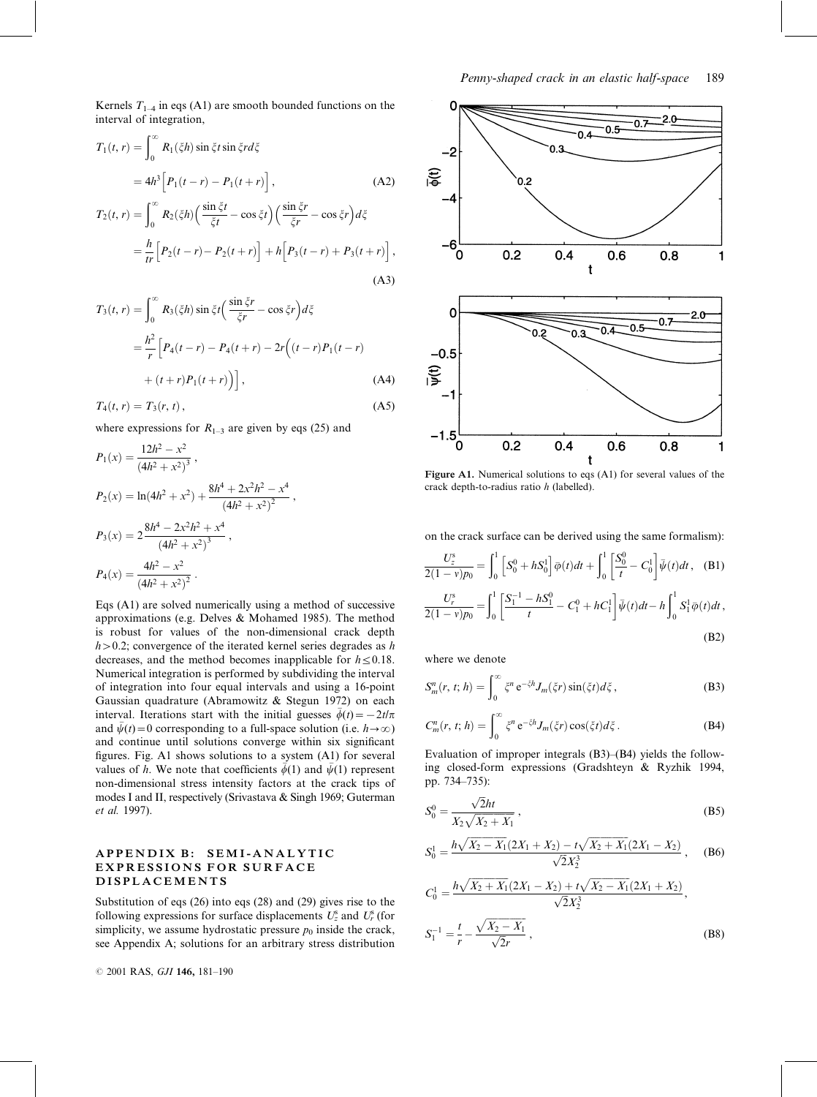Kernels  $T_{1-4}$  in eqs (A1) are smooth bounded functions on the interval of integration,

$$
T_1(t, r) = \int_0^\infty R_1(\xi h) \sin \xi t \sin \xi r d\xi
$$
  
=  $4h^3 \Big[ P_1(t - r) - P_1(t + r) \Big],$  (A2)

$$
T_2(t, r) = \int_0^\infty R_2(\xi h) \left( \frac{\sin \xi t}{\xi t} - \cos \xi t \right) \left( \frac{\sin \xi r}{\xi r} - \cos \xi r \right) d\xi
$$
  
= 
$$
\frac{h}{tr} \left[ P_2(t - r) - P_2(t + r) \right] + h \left[ P_3(t - r) + P_3(t + r) \right],
$$
(A3)

$$
T_3(t, r) = \int_0^\infty R_3(\xi h) \sin \xi t \left( \frac{\sin \xi r}{\xi r} - \cos \xi r \right) d\xi
$$
  
= 
$$
\frac{h^2}{r} \left[ P_4(t - r) - P_4(t + r) - 2r \left( (t - r) P_1(t - r) + (t + r) P_1(t + r) \right) \right],
$$
 (A4)

 $T_4(t, r) = T_3(r, t),$  (A5)

where expressions for  $R_{1-3}$  are given by eqs (25) and

$$
P_1(x) = \frac{12h^2 - x^2}{(4h^2 + x^2)^3},
$$
  
\n
$$
P_2(x) = \ln(4h^2 + x^2) + \frac{8h^4 + 2x^2h^2 - x^4}{(4h^2 + x^2)^2},
$$
  
\n
$$
P_3(x) = 2\frac{8h^4 - 2x^2h^2 + x^4}{(4h^2 + x^2)^3},
$$
  
\n
$$
P_4(x) = \frac{4h^2 - x^2}{(4h^2 + x^2)^2}.
$$

Eqs (A1) are solved numerically using a method of successive approximations (e.g. Delves & Mohamed 1985). The method is robust for values of the non-dimensional crack depth  $h > 0.2$ ; convergence of the iterated kernel series degrades as h decreases, and the method becomes inapplicable for  $h \leq 0.18$ . Numerical integration is performed by subdividing the interval of integration into four equal intervals and using a 16-point Gaussian quadrature (Abramowitz & Stegun 1972) on each interval. Iterations start with the initial guesses  $\bar{\phi}(t) = -2t/\pi$ and  $\psi(t)=0$  corresponding to a full-space solution (i.e.  $h\rightarrow\infty$ ) and continue until solutions converge within six significant figures. Fig. A1 shows solutions to a system (A1) for several values of h. We note that coefficients  $\bar{\phi}(1)$  and  $\bar{\psi}(1)$  represent non-dimensional stress intensity factors at the crack tips of modes I and II, respectively (Srivastava & Singh 1969; Guterman et al. 1997).

# APPENDIX B: SEMI-ANALYTIC EXPRESSIONS FOR SURFACE DISPLACEMENTS

Substitution of eqs (26) into eqs (28) and (29) gives rise to the following expressions for surface displacements  $U_z^s$  and  $U_r^s$  (for simplicity, we assume hydrostatic pressure  $p_0$  inside the crack, see Appendix A; solutions for an arbitrary stress distribution

© 2001 RAS, GJI 146, 181-190



Figure A1. Numerical solutions to eqs (A1) for several values of the crack depth-to-radius ratio h (labelled).

on the crack surface can be derived using the same formalism):

$$
\frac{U_z^s}{2(1-v)p_0} = \int_0^1 \left[ S_0^0 + hS_0^1 \right] \bar{\varphi}(t)dt + \int_0^1 \left[ \frac{S_0^0}{t} - C_0^1 \right] \bar{\psi}(t)dt, \quad \text{(B1)}
$$

$$
\frac{U_r^s}{2(1-v)p_0} = \int_0^1 \left[ \frac{S_1^{-1} - hS_1^0}{t} - C_1^0 + hC_1^1 \right] \bar{\psi}(t)dt - h \int_0^1 S_1^1 \bar{\varphi}(t)dt,
$$

$$
\text{(B2)}
$$

where we denote

$$
S_m^n(r, t; h) = \int_0^\infty \xi^n e^{-\xi h} J_m(\xi r) \sin(\xi t) d\xi,
$$
 (B3)

$$
C_m^n(r, t; h) = \int_0^\infty \xi^n e^{-\xi h} J_m(\xi r) \cos(\xi t) d\xi.
$$
 (B4)

Evaluation of improper integrals (B3)–(B4) yields the following closed-form expressions (Gradshteyn & Ryzhik 1994, pp. 734–735):

$$
S_0^0 = \frac{\sqrt{2}ht}{X_2\sqrt{X_2 + X_1}}\,,\tag{B5}
$$

$$
S_0^1 = \frac{h\sqrt{X_2 - X_1}(2X_1 + X_2) - t\sqrt{X_2 + X_1}(2X_1 - X_2)}{\sqrt{2}X_2^3},
$$
 (B6)

$$
C_0^1 = \frac{h\sqrt{X_2 + X_1}(2X_1 - X_2) + t\sqrt{X_2 - X_1}(2X_1 + X_2)}{\sqrt{2}X_2^3},
$$
  

$$
S_1^{-1} = \frac{t}{r} - \frac{\sqrt{X_2 - X_1}}{\sqrt{2}r},
$$
 (B8)